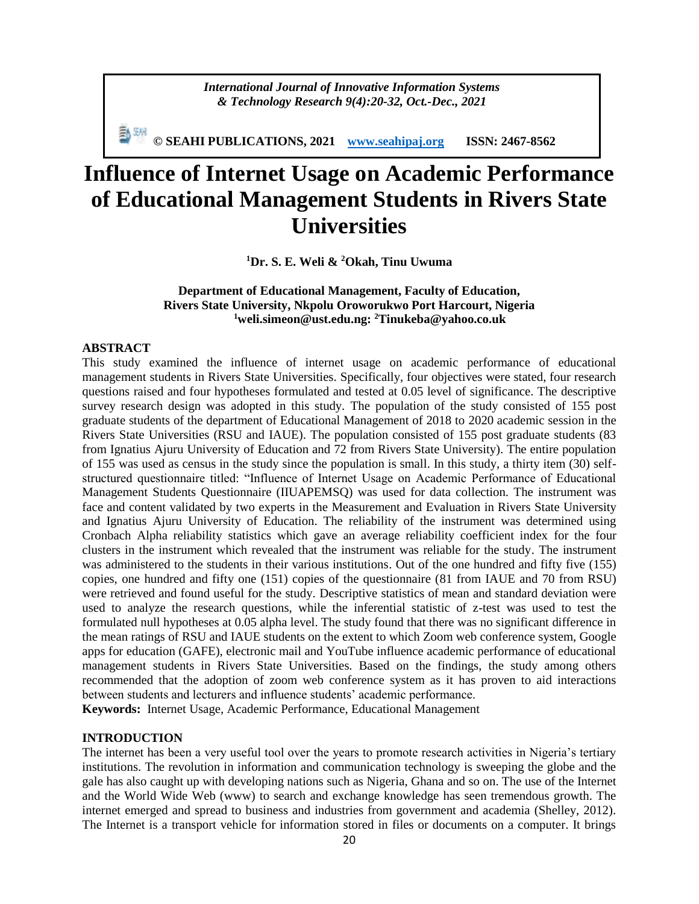*International Journal of Innovative Information Systems & Technology Research 9(4):20-32, Oct.-Dec., 2021*

**© SEAHI PUBLICATIONS, 2021 [www.seahipaj.org](http://www.seahipaj.org/) ISSN: 2467-8562**

# **Influence of Internet Usage on Academic Performance of Educational Management Students in Rivers State Universities**

**<sup>1</sup>Dr. S. E. Weli & <sup>2</sup>Okah, Tinu Uwuma**

# **Department of Educational Management, Faculty of Education, Rivers State University, Nkpolu Oroworukwo Port Harcourt, Nigeria <sup>1</sup>weli.simeon@ust.edu.ng: <sup>2</sup>Tinukeba@yahoo.co.uk**

## **ABSTRACT**

This study examined the influence of internet usage on academic performance of educational management students in Rivers State Universities. Specifically, four objectives were stated, four research questions raised and four hypotheses formulated and tested at 0.05 level of significance. The descriptive survey research design was adopted in this study. The population of the study consisted of 155 post graduate students of the department of Educational Management of 2018 to 2020 academic session in the Rivers State Universities (RSU and IAUE). The population consisted of 155 post graduate students (83 from Ignatius Ajuru University of Education and 72 from Rivers State University). The entire population of 155 was used as census in the study since the population is small. In this study, a thirty item (30) selfstructured questionnaire titled: "Influence of Internet Usage on Academic Performance of Educational Management Students Questionnaire (IIUAPEMSQ) was used for data collection. The instrument was face and content validated by two experts in the Measurement and Evaluation in Rivers State University and Ignatius Ajuru University of Education. The reliability of the instrument was determined using Cronbach Alpha reliability statistics which gave an average reliability coefficient index for the four clusters in the instrument which revealed that the instrument was reliable for the study. The instrument was administered to the students in their various institutions. Out of the one hundred and fifty five (155) copies, one hundred and fifty one (151) copies of the questionnaire (81 from IAUE and 70 from RSU) were retrieved and found useful for the study. Descriptive statistics of mean and standard deviation were used to analyze the research questions, while the inferential statistic of z-test was used to test the formulated null hypotheses at 0.05 alpha level. The study found that there was no significant difference in the mean ratings of RSU and IAUE students on the extent to which Zoom web conference system, Google apps for education (GAFE), electronic mail and YouTube influence academic performance of educational management students in Rivers State Universities. Based on the findings, the study among others recommended that the adoption of zoom web conference system as it has proven to aid interactions between students and lecturers and influence students' academic performance.

**Keywords:** Internet Usage, Academic Performance, Educational Management

# **INTRODUCTION**

The internet has been a very useful tool over the years to promote research activities in Nigeria's tertiary institutions. The revolution in information and communication technology is sweeping the globe and the gale has also caught up with developing nations such as Nigeria, Ghana and so on. The use of the Internet and the World Wide Web (www) to search and exchange knowledge has seen tremendous growth. The internet emerged and spread to business and industries from government and academia (Shelley, 2012). The Internet is a transport vehicle for information stored in files or documents on a computer. It brings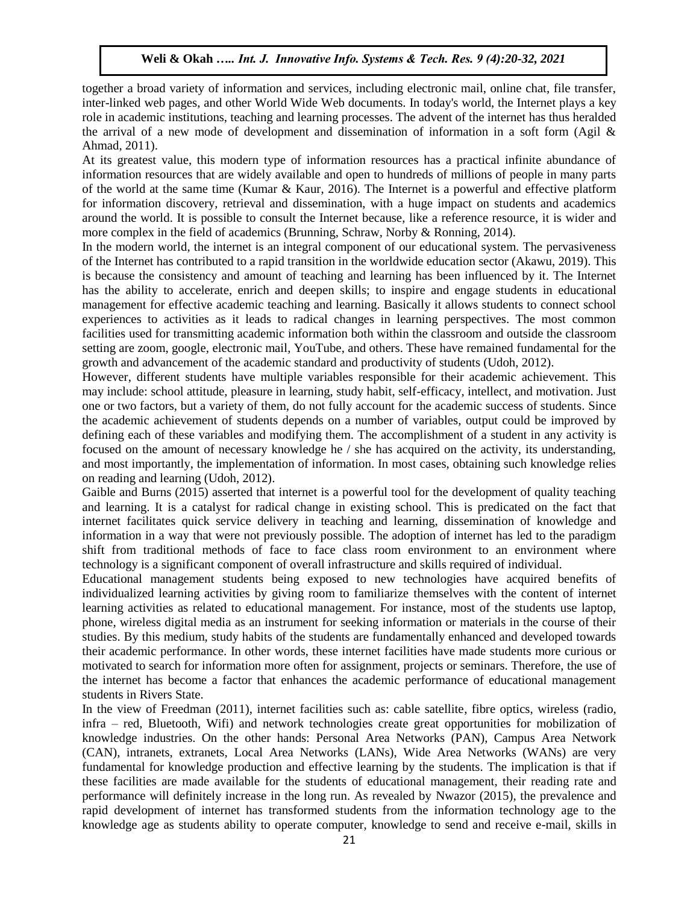together a broad variety of information and services, including electronic mail, online chat, file transfer, inter-linked web pages, and other World Wide Web documents. In today's world, the Internet plays a key role in academic institutions, teaching and learning processes. The advent of the internet has thus heralded the arrival of a new mode of development and dissemination of information in a soft form (Agil & Ahmad, 2011).

At its greatest value, this modern type of information resources has a practical infinite abundance of information resources that are widely available and open to hundreds of millions of people in many parts of the world at the same time (Kumar & Kaur, 2016). The Internet is a powerful and effective platform for information discovery, retrieval and dissemination, with a huge impact on students and academics around the world. It is possible to consult the Internet because, like a reference resource, it is wider and more complex in the field of academics (Brunning, Schraw, Norby & Ronning, 2014).

In the modern world, the internet is an integral component of our educational system. The pervasiveness of the Internet has contributed to a rapid transition in the worldwide education sector (Akawu, 2019). This is because the consistency and amount of teaching and learning has been influenced by it. The Internet has the ability to accelerate, enrich and deepen skills; to inspire and engage students in educational management for effective academic teaching and learning. Basically it allows students to connect school experiences to activities as it leads to radical changes in learning perspectives. The most common facilities used for transmitting academic information both within the classroom and outside the classroom setting are zoom, google, electronic mail, YouTube, and others. These have remained fundamental for the growth and advancement of the academic standard and productivity of students (Udoh, 2012).

However, different students have multiple variables responsible for their academic achievement. This may include: school attitude, pleasure in learning, study habit, self-efficacy, intellect, and motivation. Just one or two factors, but a variety of them, do not fully account for the academic success of students. Since the academic achievement of students depends on a number of variables, output could be improved by defining each of these variables and modifying them. The accomplishment of a student in any activity is focused on the amount of necessary knowledge he / she has acquired on the activity, its understanding, and most importantly, the implementation of information. In most cases, obtaining such knowledge relies on reading and learning (Udoh, 2012).

Gaible and Burns (2015) asserted that internet is a powerful tool for the development of quality teaching and learning. It is a catalyst for radical change in existing school. This is predicated on the fact that internet facilitates quick service delivery in teaching and learning, dissemination of knowledge and information in a way that were not previously possible. The adoption of internet has led to the paradigm shift from traditional methods of face to face class room environment to an environment where technology is a significant component of overall infrastructure and skills required of individual.

Educational management students being exposed to new technologies have acquired benefits of individualized learning activities by giving room to familiarize themselves with the content of internet learning activities as related to educational management. For instance, most of the students use laptop, phone, wireless digital media as an instrument for seeking information or materials in the course of their studies. By this medium, study habits of the students are fundamentally enhanced and developed towards their academic performance. In other words, these internet facilities have made students more curious or motivated to search for information more often for assignment, projects or seminars. Therefore, the use of the internet has become a factor that enhances the academic performance of educational management students in Rivers State.

In the view of Freedman (2011), internet facilities such as: cable satellite, fibre optics, wireless (radio, infra – red, Bluetooth, Wifi) and network technologies create great opportunities for mobilization of knowledge industries. On the other hands: Personal Area Networks (PAN), Campus Area Network (CAN), intranets, extranets, Local Area Networks (LANs), Wide Area Networks (WANs) are very fundamental for knowledge production and effective learning by the students. The implication is that if these facilities are made available for the students of educational management, their reading rate and performance will definitely increase in the long run. As revealed by Nwazor (2015), the prevalence and rapid development of internet has transformed students from the information technology age to the knowledge age as students ability to operate computer, knowledge to send and receive e-mail, skills in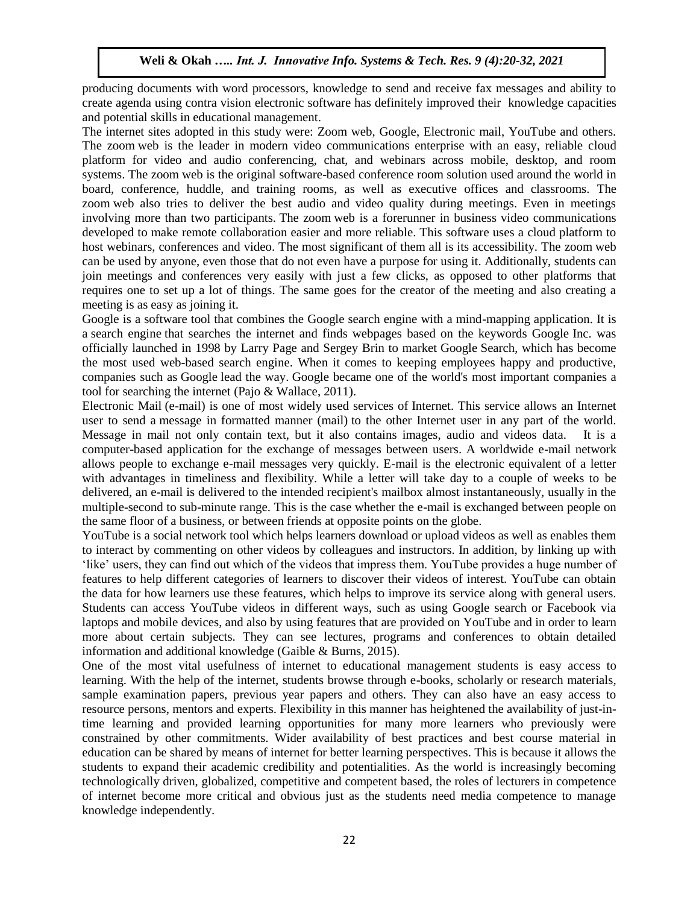producing documents with word processors, knowledge to send and receive fax messages and ability to create agenda using contra vision electronic software has definitely improved their knowledge capacities and potential skills in educational management.

The internet sites adopted in this study were: Zoom web, Google, Electronic mail, YouTube and others. The zoom web is the leader in modern video communications enterprise with an easy, reliable cloud platform for video and audio conferencing, chat, and webinars across mobile, desktop, and room systems. The zoom web is the original software-based conference room solution used around the world in board, conference, huddle, and training rooms, as well as executive offices and classrooms. The zoom web also tries to deliver the best audio and video quality during meetings. Even in meetings involving more than two participants. The zoom web is a forerunner in business video communications developed to make remote collaboration easier and more reliable. This software uses a cloud platform to host webinars, conferences and video. The most significant of them all is its accessibility. The zoom web can be used by anyone, even those that do not even have a purpose for using it. Additionally, students can join meetings and conferences very easily with just a few clicks, as opposed to other platforms that requires one to set up a lot of things. The same goes for the creator of the meeting and also creating a meeting is as easy as joining it.

Google is a software tool that combines the Google search engine with a mind-mapping application. It is a search engine that searches the internet and finds webpages based on the keywords Google Inc. was officially launched in 1998 by Larry Page and Sergey Brin to market Google Search, which has become the most used web-based search engine. When it comes to keeping employees happy and productive, companies such as Google lead the way. Google became one of the world's most important companies a tool for searching the internet (Pajo & Wallace, 2011).

Electronic Mail (e-mail) is one of most widely used services of [Internet.](https://www.geeksforgeeks.org/the-internet-and-the-web/) This service allows an Internet user to send a message in formatted manner (mail) to the other Internet user in any part of the world. Message in mail not only contain text, but it also contains images, audio and videos data. It is a computer-based application for the exchange of messages between users. A worldwide e-mail network allows people to exchange e-mail messages very quickly. E-mail is the electronic equivalent of a letter with advantages in timeliness and flexibility. While a letter will take day to a couple of weeks to be delivered, an e-mail is delivered to the intended recipient's mailbox almost instantaneously, usually in the multiple-second to sub-minute range. This is the case whether the e-mail is exchanged between people on the same floor of a business, or between friends at opposite points on the globe.

YouTube is a social network tool which helps learners download or upload videos as well as enables them to interact by commenting on other videos by colleagues and instructors. In addition, by linking up with 'like' users, they can find out which of the videos that impress them. YouTube provides a huge number of features to help different categories of learners to discover their videos of interest. YouTube can obtain the data for how learners use these features, which helps to improve its service along with general users. Students can access YouTube videos in different ways, such as using Google search or Facebook via laptops and mobile devices, and also by using features that are provided on YouTube and in order to learn more about certain subjects. They can see lectures, programs and conferences to obtain detailed information and additional knowledge (Gaible & Burns, 2015).

One of the most vital usefulness of internet to educational management students is easy access to learning. With the help of the internet, students browse through e-books, scholarly or research materials, sample examination papers, previous year papers and others. They can also have an easy access to resource persons, mentors and experts. Flexibility in this manner has heightened the availability of just-intime learning and provided learning opportunities for many more learners who previously were constrained by other commitments. Wider availability of best practices and best course material in education can be shared by means of internet for better learning perspectives. This is because it allows the students to expand their academic credibility and potentialities. As the world is increasingly becoming technologically driven, globalized, competitive and competent based, the roles of lecturers in competence of internet become more critical and obvious just as the students need media competence to manage knowledge independently.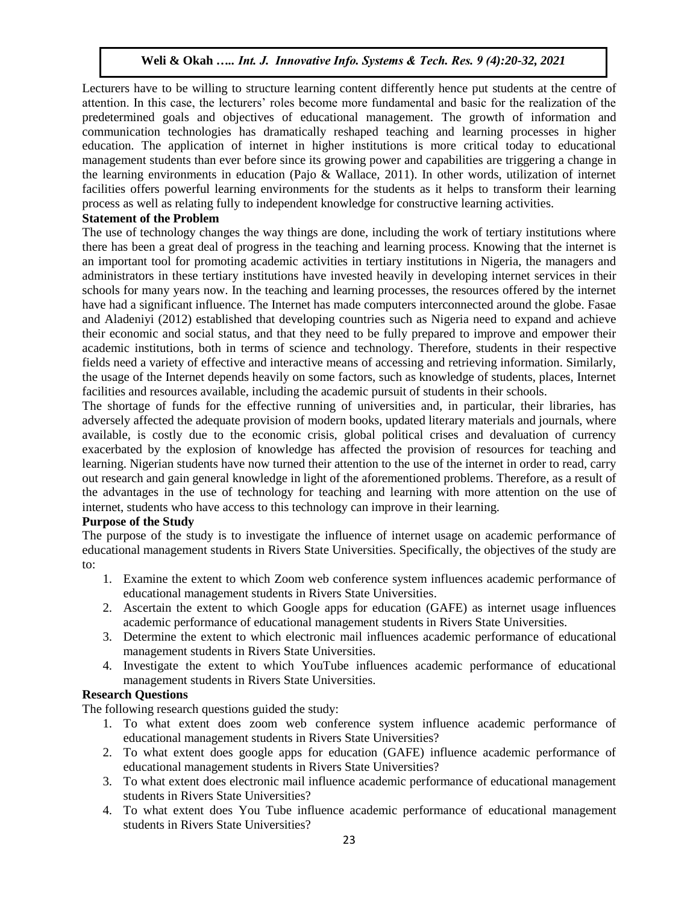Lecturers have to be willing to structure learning content differently hence put students at the centre of attention. In this case, the lecturers' roles become more fundamental and basic for the realization of the predetermined goals and objectives of educational management. The growth of information and communication technologies has dramatically reshaped teaching and learning processes in higher education. The application of internet in higher institutions is more critical today to educational management students than ever before since its growing power and capabilities are triggering a change in the learning environments in education (Pajo & Wallace, 2011). In other words, utilization of internet facilities offers powerful learning environments for the students as it helps to transform their learning process as well as relating fully to independent knowledge for constructive learning activities.

## **Statement of the Problem**

The use of technology changes the way things are done, including the work of tertiary institutions where there has been a great deal of progress in the teaching and learning process. Knowing that the internet is an important tool for promoting academic activities in tertiary institutions in Nigeria, the managers and administrators in these tertiary institutions have invested heavily in developing internet services in their schools for many years now. In the teaching and learning processes, the resources offered by the internet have had a significant influence. The Internet has made computers interconnected around the globe. Fasae and Aladeniyi (2012) established that developing countries such as Nigeria need to expand and achieve their economic and social status, and that they need to be fully prepared to improve and empower their academic institutions, both in terms of science and technology. Therefore, students in their respective fields need a variety of effective and interactive means of accessing and retrieving information. Similarly, the usage of the Internet depends heavily on some factors, such as knowledge of students, places, Internet facilities and resources available, including the academic pursuit of students in their schools.

The shortage of funds for the effective running of universities and, in particular, their libraries, has adversely affected the adequate provision of modern books, updated literary materials and journals, where available, is costly due to the economic crisis, global political crises and devaluation of currency exacerbated by the explosion of knowledge has affected the provision of resources for teaching and learning. Nigerian students have now turned their attention to the use of the internet in order to read, carry out research and gain general knowledge in light of the aforementioned problems. Therefore, as a result of the advantages in the use of technology for teaching and learning with more attention on the use of internet, students who have access to this technology can improve in their learning.

# **Purpose of the Study**

The purpose of the study is to investigate the influence of internet usage on academic performance of educational management students in Rivers State Universities. Specifically, the objectives of the study are to:

- 1. Examine the extent to which Zoom web conference system influences academic performance of educational management students in Rivers State Universities.
- 2. Ascertain the extent to which Google apps for education (GAFE) as internet usage influences academic performance of educational management students in Rivers State Universities.
- 3. Determine the extent to which electronic mail influences academic performance of educational management students in Rivers State Universities.
- 4. Investigate the extent to which YouTube influences academic performance of educational management students in Rivers State Universities.

# **Research Questions**

The following research questions guided the study:

- 1. To what extent does zoom web conference system influence academic performance of educational management students in Rivers State Universities?
- 2. To what extent does google apps for education (GAFE) influence academic performance of educational management students in Rivers State Universities?
- 3. To what extent does electronic mail influence academic performance of educational management students in Rivers State Universities?
- 4. To what extent does You Tube influence academic performance of educational management students in Rivers State Universities?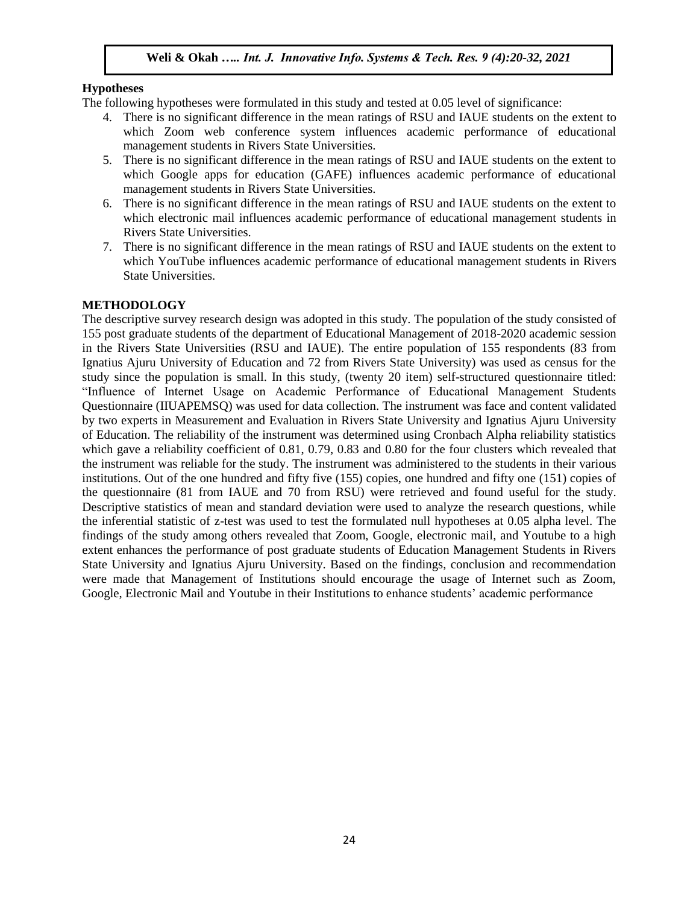# **Hypotheses**

The following hypotheses were formulated in this study and tested at 0.05 level of significance:

- 4. There is no significant difference in the mean ratings of RSU and IAUE students on the extent to which Zoom web conference system influences academic performance of educational management students in Rivers State Universities.
- 5. There is no significant difference in the mean ratings of RSU and IAUE students on the extent to which Google apps for education (GAFE) influences academic performance of educational management students in Rivers State Universities.
- 6. There is no significant difference in the mean ratings of RSU and IAUE students on the extent to which electronic mail influences academic performance of educational management students in Rivers State Universities.
- 7. There is no significant difference in the mean ratings of RSU and IAUE students on the extent to which YouTube influences academic performance of educational management students in Rivers State Universities.

# **METHODOLOGY**

The descriptive survey research design was adopted in this study. The population of the study consisted of 155 post graduate students of the department of Educational Management of 2018-2020 academic session in the Rivers State Universities (RSU and IAUE). The entire population of 155 respondents (83 from Ignatius Ajuru University of Education and 72 from Rivers State University) was used as census for the study since the population is small. In this study, (twenty 20 item) self-structured questionnaire titled: "Influence of Internet Usage on Academic Performance of Educational Management Students Questionnaire (IIUAPEMSQ) was used for data collection. The instrument was face and content validated by two experts in Measurement and Evaluation in Rivers State University and Ignatius Ajuru University of Education. The reliability of the instrument was determined using Cronbach Alpha reliability statistics which gave a reliability coefficient of 0.81, 0.79, 0.83 and 0.80 for the four clusters which revealed that the instrument was reliable for the study. The instrument was administered to the students in their various institutions. Out of the one hundred and fifty five (155) copies, one hundred and fifty one (151) copies of the questionnaire (81 from IAUE and 70 from RSU) were retrieved and found useful for the study. Descriptive statistics of mean and standard deviation were used to analyze the research questions, while the inferential statistic of z-test was used to test the formulated null hypotheses at 0.05 alpha level. The findings of the study among others revealed that Zoom, Google, electronic mail, and Youtube to a high extent enhances the performance of post graduate students of Education Management Students in Rivers State University and Ignatius Ajuru University. Based on the findings, conclusion and recommendation were made that Management of Institutions should encourage the usage of Internet such as Zoom, Google, Electronic Mail and Youtube in their Institutions to enhance students' academic performance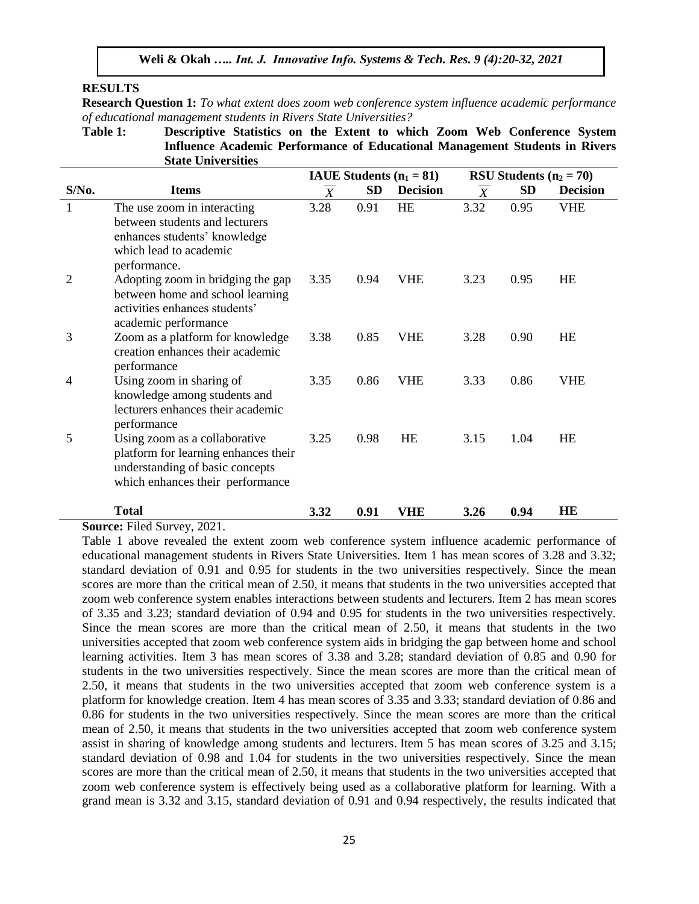## **RESULTS**

**Research Question 1:** *To what extent does zoom web conference system influence academic performance of educational management students in Rivers State Universities?*

**Table 1: Descriptive Statistics on the Extent to which Zoom Web Conference System Influence Academic Performance of Educational Management Students in Rivers State Universities**

|                |                                                                                                                                              |                  |           | IAUE Students $(n_1 = 81)$ |                | RSU Students $(n_2 = 70)$ |                 |
|----------------|----------------------------------------------------------------------------------------------------------------------------------------------|------------------|-----------|----------------------------|----------------|---------------------------|-----------------|
| $S/N0$ .       | <b>Items</b>                                                                                                                                 | $\boldsymbol{X}$ | <b>SD</b> | <b>Decision</b>            | $\overline{X}$ | <b>SD</b>                 | <b>Decision</b> |
| 1              | The use zoom in interacting<br>between students and lecturers<br>enhances students' knowledge<br>which lead to academic<br>performance.      | 3.28             | 0.91      | <b>HE</b>                  | 3.32           | 0.95                      | <b>VHE</b>      |
| 2              | Adopting zoom in bridging the gap<br>between home and school learning<br>activities enhances students'<br>academic performance               | 3.35             | 0.94      | <b>VHE</b>                 | 3.23           | 0.95                      | HE              |
| 3              | Zoom as a platform for knowledge<br>creation enhances their academic<br>performance                                                          | 3.38             | 0.85      | <b>VHE</b>                 | 3.28           | 0.90                      | HE              |
| $\overline{4}$ | Using zoom in sharing of<br>knowledge among students and<br>lecturers enhances their academic<br>performance                                 | 3.35             | 0.86      | <b>VHE</b>                 | 3.33           | 0.86                      | <b>VHE</b>      |
| 5              | Using zoom as a collaborative<br>platform for learning enhances their<br>understanding of basic concepts<br>which enhances their performance | 3.25             | 0.98      | <b>HE</b>                  | 3.15           | 1.04                      | HE              |
|                | <b>Total</b>                                                                                                                                 | 3.32             | 0.91      | VHE                        | 3.26           | 0.94                      | HE              |

#### **Source:** Filed Survey, 2021.

Table 1 above revealed the extent zoom web conference system influence academic performance of educational management students in Rivers State Universities. Item 1 has mean scores of 3.28 and 3.32; standard deviation of 0.91 and 0.95 for students in the two universities respectively. Since the mean scores are more than the critical mean of 2.50, it means that students in the two universities accepted that zoom web conference system enables interactions between students and lecturers. Item 2 has mean scores of 3.35 and 3.23; standard deviation of 0.94 and 0.95 for students in the two universities respectively. Since the mean scores are more than the critical mean of 2.50, it means that students in the two universities accepted that zoom web conference system aids in bridging the gap between home and school learning activities. Item 3 has mean scores of 3.38 and 3.28; standard deviation of 0.85 and 0.90 for students in the two universities respectively. Since the mean scores are more than the critical mean of 2.50, it means that students in the two universities accepted that zoom web conference system is a platform for knowledge creation. Item 4 has mean scores of 3.35 and 3.33; standard deviation of 0.86 and 0.86 for students in the two universities respectively. Since the mean scores are more than the critical mean of 2.50, it means that students in the two universities accepted that zoom web conference system assist in sharing of knowledge among students and lecturers. Item 5 has mean scores of 3.25 and 3.15; standard deviation of 0.98 and 1.04 for students in the two universities respectively. Since the mean scores are more than the critical mean of 2.50, it means that students in the two universities accepted that zoom web conference system is effectively being used as a collaborative platform for learning. With a grand mean is 3.32 and 3.15, standard deviation of 0.91 and 0.94 respectively, the results indicated that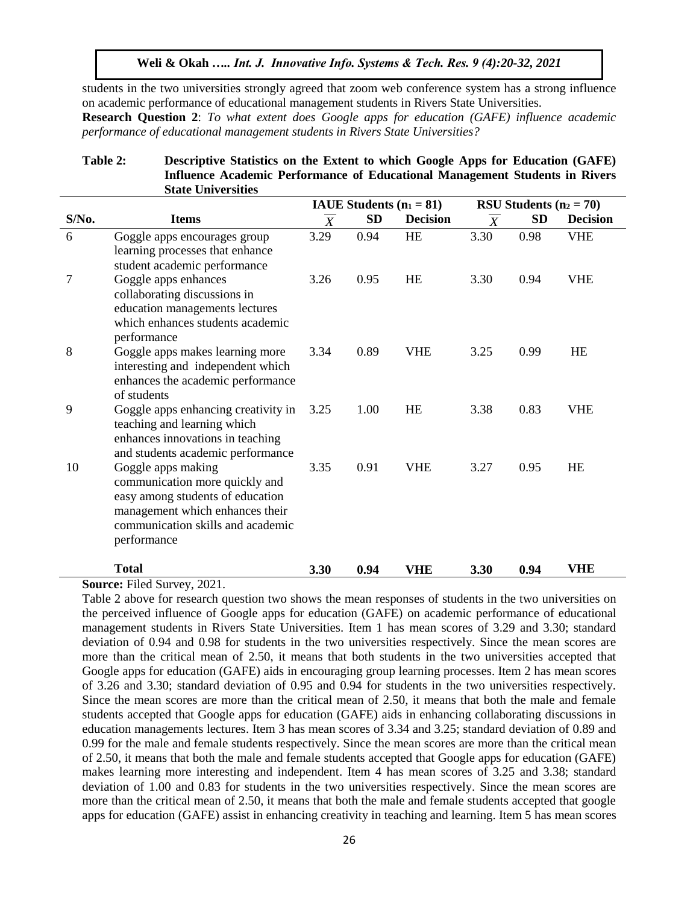students in the two universities strongly agreed that zoom web conference system has a strong influence on academic performance of educational management students in Rivers State Universities.

**Research Question 2**: *To what extent does Google apps for education (GAFE) influence academic performance of educational management students in Rivers State Universities?*

## **Table 2: Descriptive Statistics on the Extent to which Google Apps for Education (GAFE) Influence Academic Performance of Educational Management Students in Rivers State Universities**

|                |                                                                                                                                                                                 |                | IAUE Students $(n_1 = 81)$ |                 | RSU Students $(n_2 = 70)$ |           |                 |  |
|----------------|---------------------------------------------------------------------------------------------------------------------------------------------------------------------------------|----------------|----------------------------|-----------------|---------------------------|-----------|-----------------|--|
| $S/N0$ .       | <b>Items</b>                                                                                                                                                                    | $\overline{X}$ | <b>SD</b>                  | <b>Decision</b> | $\overline{X}$            | <b>SD</b> | <b>Decision</b> |  |
| 6              | Goggle apps encourages group<br>learning processes that enhance<br>student academic performance                                                                                 | 3.29           | 0.94                       | HE              | 3.30                      | 0.98      | <b>VHE</b>      |  |
| $\overline{7}$ | Goggle apps enhances<br>collaborating discussions in<br>education managements lectures<br>which enhances students academic<br>performance                                       | 3.26           | 0.95                       | <b>HE</b>       | 3.30                      | 0.94      | <b>VHE</b>      |  |
| 8              | Goggle apps makes learning more<br>interesting and independent which<br>enhances the academic performance<br>of students                                                        | 3.34           | 0.89                       | VHE             | 3.25                      | 0.99      | <b>HE</b>       |  |
| 9              | Goggle apps enhancing creativity in<br>teaching and learning which<br>enhances innovations in teaching<br>and students academic performance                                     | 3.25           | 1.00                       | <b>HE</b>       | 3.38                      | 0.83      | <b>VHE</b>      |  |
| 10             | Goggle apps making<br>communication more quickly and<br>easy among students of education<br>management which enhances their<br>communication skills and academic<br>performance | 3.35           | 0.91                       | <b>VHE</b>      | 3.27                      | 0.95      | HE              |  |
|                | <b>Total</b>                                                                                                                                                                    | 3.30           | 0.94                       | VHE             | 3.30                      | 0.94      | <b>VHE</b>      |  |

**Source:** Filed Survey, 2021.

Table 2 above for research question two shows the mean responses of students in the two universities on the perceived influence of Google apps for education (GAFE) on academic performance of educational management students in Rivers State Universities. Item 1 has mean scores of 3.29 and 3.30; standard deviation of 0.94 and 0.98 for students in the two universities respectively. Since the mean scores are more than the critical mean of 2.50, it means that both students in the two universities accepted that Google apps for education (GAFE) aids in encouraging group learning processes. Item 2 has mean scores of 3.26 and 3.30; standard deviation of 0.95 and 0.94 for students in the two universities respectively. Since the mean scores are more than the critical mean of 2.50, it means that both the male and female students accepted that Google apps for education (GAFE) aids in enhancing collaborating discussions in education managements lectures. Item 3 has mean scores of 3.34 and 3.25; standard deviation of 0.89 and 0.99 for the male and female students respectively. Since the mean scores are more than the critical mean of 2.50, it means that both the male and female students accepted that Google apps for education (GAFE) makes learning more interesting and independent. Item 4 has mean scores of 3.25 and 3.38; standard deviation of 1.00 and 0.83 for students in the two universities respectively. Since the mean scores are more than the critical mean of 2.50, it means that both the male and female students accepted that google apps for education (GAFE) assist in enhancing creativity in teaching and learning. Item 5 has mean scores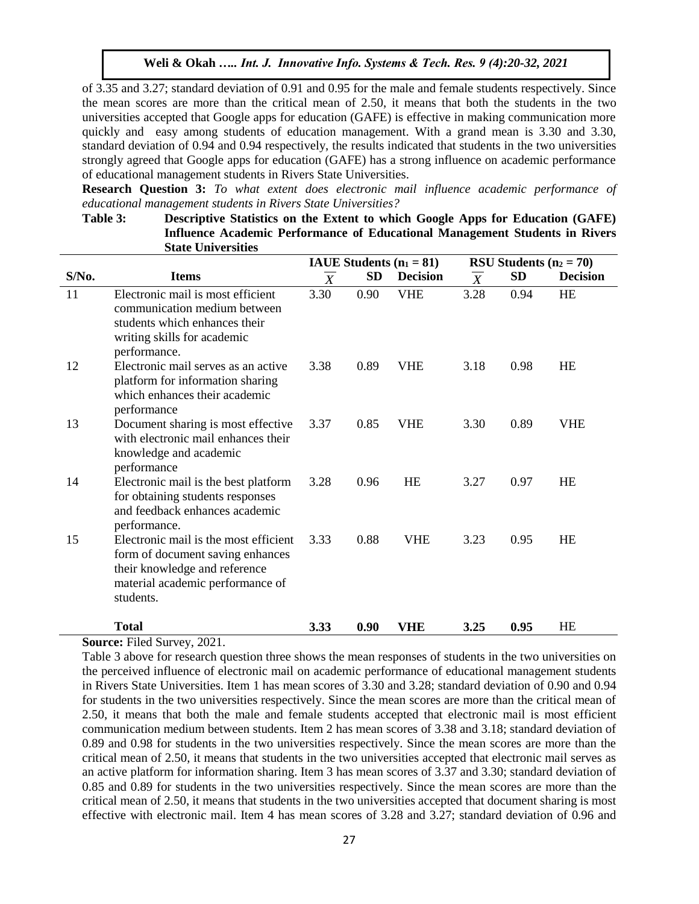of 3.35 and 3.27; standard deviation of 0.91 and 0.95 for the male and female students respectively. Since the mean scores are more than the critical mean of 2.50, it means that both the students in the two universities accepted that Google apps for education (GAFE) is effective in making communication more quickly and easy among students of education management. With a grand mean is 3.30 and 3.30, standard deviation of 0.94 and 0.94 respectively, the results indicated that students in the two universities strongly agreed that Google apps for education (GAFE) has a strong influence on academic performance of educational management students in Rivers State Universities.

**Research Question 3:** *To what extent does electronic mail influence academic performance of educational management students in Rivers State Universities?*

| Table 3: | Descriptive Statistics on the Extent to which Google Apps for Education (GAFE) |                          |
|----------|--------------------------------------------------------------------------------|--------------------------|
|          | Influence Academic Performance of Educational Management Students in Rivers    |                          |
|          | <b>State Universities</b>                                                      |                          |
|          | <b>IAIIE</b> Students $(n, -81)$                                               | DCII Chidante $(n, -70)$ |

|       |                                                                                                                                                             |                |           | IAUE Students $(n_1 = 81)$ | RSU Students $(n_2 = 70)$ |           |                 |  |
|-------|-------------------------------------------------------------------------------------------------------------------------------------------------------------|----------------|-----------|----------------------------|---------------------------|-----------|-----------------|--|
| S/No. | <b>Items</b>                                                                                                                                                | $\overline{X}$ | <b>SD</b> | <b>Decision</b>            | $\overline{X}$            | <b>SD</b> | <b>Decision</b> |  |
| 11    | Electronic mail is most efficient<br>communication medium between<br>students which enhances their<br>writing skills for academic<br>performance.           | 3.30           | 0.90      | <b>VHE</b>                 | 3.28                      | 0.94      | HE              |  |
| 12    | Electronic mail serves as an active<br>platform for information sharing<br>which enhances their academic<br>performance                                     | 3.38           | 0.89      | <b>VHE</b>                 | 3.18                      | 0.98      | HE              |  |
| 13    | Document sharing is most effective<br>with electronic mail enhances their<br>knowledge and academic<br>performance                                          | 3.37           | 0.85      | VHE                        | 3.30                      | 0.89      | VHE             |  |
| 14    | Electronic mail is the best platform<br>for obtaining students responses<br>and feedback enhances academic<br>performance.                                  | 3.28           | 0.96      | <b>HE</b>                  | 3.27                      | 0.97      | HE              |  |
| 15    | Electronic mail is the most efficient<br>form of document saving enhances<br>their knowledge and reference<br>material academic performance of<br>students. | 3.33           | 0.88      | <b>VHE</b>                 | 3.23                      | 0.95      | <b>HE</b>       |  |
|       | <b>Total</b>                                                                                                                                                | 3.33           | 0.90      | VHE                        | 3.25                      | 0.95      | HE              |  |

**Source:** Filed Survey, 2021.

Table 3 above for research question three shows the mean responses of students in the two universities on the perceived influence of electronic mail on academic performance of educational management students in Rivers State Universities. Item 1 has mean scores of 3.30 and 3.28; standard deviation of 0.90 and 0.94 for students in the two universities respectively. Since the mean scores are more than the critical mean of 2.50, it means that both the male and female students accepted that electronic mail is most efficient communication medium between students. Item 2 has mean scores of 3.38 and 3.18; standard deviation of 0.89 and 0.98 for students in the two universities respectively. Since the mean scores are more than the critical mean of 2.50, it means that students in the two universities accepted that electronic mail serves as an active platform for information sharing. Item 3 has mean scores of 3.37 and 3.30; standard deviation of 0.85 and 0.89 for students in the two universities respectively. Since the mean scores are more than the critical mean of 2.50, it means that students in the two universities accepted that document sharing is most effective with electronic mail. Item 4 has mean scores of 3.28 and 3.27; standard deviation of 0.96 and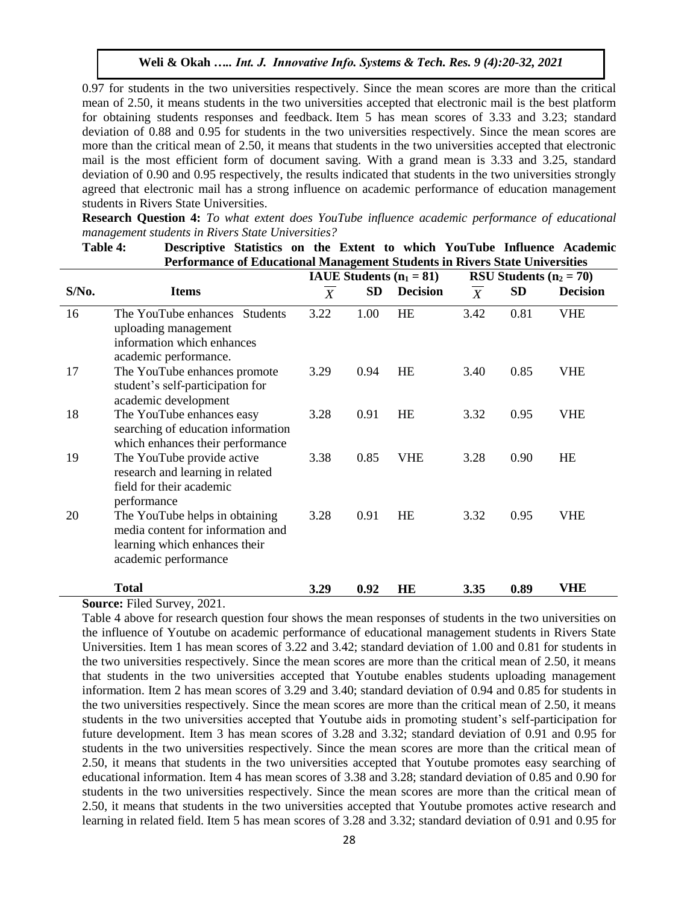0.97 for students in the two universities respectively. Since the mean scores are more than the critical mean of 2.50, it means students in the two universities accepted that electronic mail is the best platform for obtaining students responses and feedback. Item 5 has mean scores of 3.33 and 3.23; standard deviation of 0.88 and 0.95 for students in the two universities respectively. Since the mean scores are more than the critical mean of 2.50, it means that students in the two universities accepted that electronic mail is the most efficient form of document saving. With a grand mean is 3.33 and 3.25, standard deviation of 0.90 and 0.95 respectively, the results indicated that students in the two universities strongly agreed that electronic mail has a strong influence on academic performance of education management students in Rivers State Universities.

**Research Question 4:** *To what extent does YouTube influence academic performance of educational management students in Rivers State Universities?*

|       | <b>Performance of Educational Management Students in Rivers State Universities</b>                                           |                            |           | www.composition.com/ |                |           |                 |  |
|-------|------------------------------------------------------------------------------------------------------------------------------|----------------------------|-----------|----------------------|----------------|-----------|-----------------|--|
|       |                                                                                                                              | IAUE Students $(n_1 = 81)$ |           |                      |                |           |                 |  |
| S/No. | <b>Items</b>                                                                                                                 | $\boldsymbol{X}$           | <b>SD</b> | <b>Decision</b>      | $\overline{X}$ | <b>SD</b> | <b>Decision</b> |  |
| 16    | The YouTube enhances Students<br>uploading management<br>information which enhances<br>academic performance.                 | 3.22                       | 1.00      | <b>HE</b>            | 3.42           | 0.81      | <b>VHE</b>      |  |
| 17    | The YouTube enhances promote<br>student's self-participation for<br>academic development                                     | 3.29                       | 0.94      | <b>HE</b>            | 3.40           | 0.85      | <b>VHE</b>      |  |
| 18    | The YouTube enhances easy<br>searching of education information<br>which enhances their performance                          | 3.28                       | 0.91      | <b>HE</b>            | 3.32           | 0.95      | <b>VHE</b>      |  |
| 19    | The YouTube provide active<br>research and learning in related<br>field for their academic<br>performance                    | 3.38                       | 0.85      | <b>VHE</b>           | 3.28           | 0.90      | HE              |  |
| 20    | The YouTube helps in obtaining<br>media content for information and<br>learning which enhances their<br>academic performance | 3.28                       | 0.91      | <b>HE</b>            | 3.32           | 0.95      | <b>VHE</b>      |  |
|       | <b>Total</b>                                                                                                                 | 3.29                       | 0.92      | HE                   | 3.35           | 0.89      | VHE             |  |

**Table 4: Descriptive Statistics on the Extent to which YouTube Influence Academic** 

**Source:** Filed Survey, 2021.

Table 4 above for research question four shows the mean responses of students in the two universities on the influence of Youtube on academic performance of educational management students in Rivers State Universities. Item 1 has mean scores of 3.22 and 3.42; standard deviation of 1.00 and 0.81 for students in the two universities respectively. Since the mean scores are more than the critical mean of 2.50, it means that students in the two universities accepted that Youtube enables students uploading management information. Item 2 has mean scores of 3.29 and 3.40; standard deviation of 0.94 and 0.85 for students in the two universities respectively. Since the mean scores are more than the critical mean of 2.50, it means students in the two universities accepted that Youtube aids in promoting student's self-participation for future development. Item 3 has mean scores of 3.28 and 3.32; standard deviation of 0.91 and 0.95 for students in the two universities respectively. Since the mean scores are more than the critical mean of 2.50, it means that students in the two universities accepted that Youtube promotes easy searching of educational information. Item 4 has mean scores of 3.38 and 3.28; standard deviation of 0.85 and 0.90 for students in the two universities respectively. Since the mean scores are more than the critical mean of 2.50, it means that students in the two universities accepted that Youtube promotes active research and learning in related field. Item 5 has mean scores of 3.28 and 3.32; standard deviation of 0.91 and 0.95 for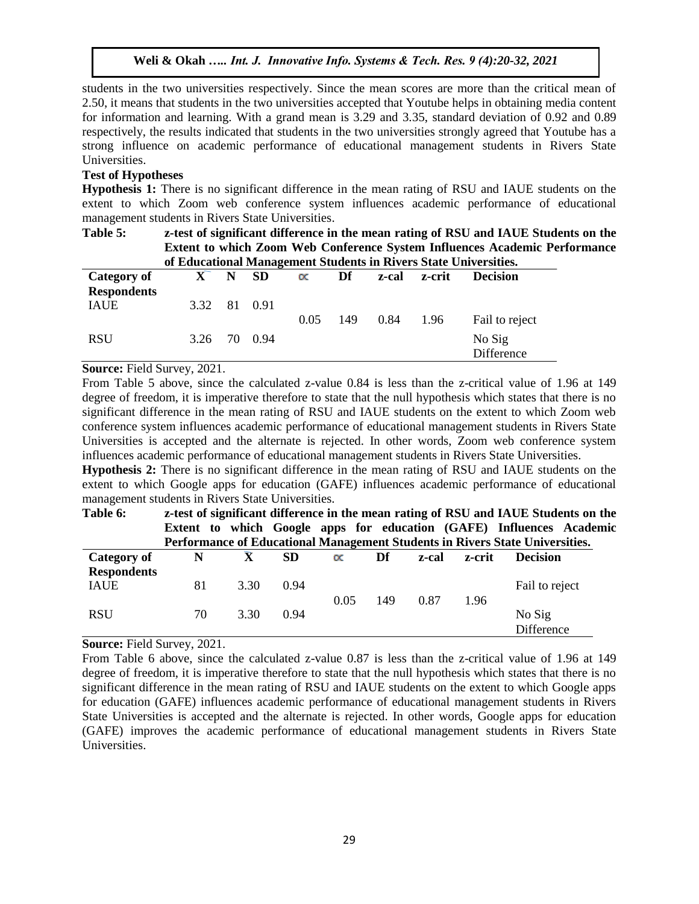students in the two universities respectively. Since the mean scores are more than the critical mean of 2.50, it means that students in the two universities accepted that Youtube helps in obtaining media content for information and learning. With a grand mean is 3.29 and 3.35, standard deviation of 0.92 and 0.89 respectively, the results indicated that students in the two universities strongly agreed that Youtube has a strong influence on academic performance of educational management students in Rivers State Universities.

# **Test of Hypotheses**

**Hypothesis 1:** There is no significant difference in the mean rating of RSU and IAUE students on the extent to which Zoom web conference system influences academic performance of educational management students in Rivers State Universities.

| Table 5:           |         | z-test of significant difference in the mean rating of RSU and IAUE Students on the<br><b>Extent to which Zoom Web Conference System Influences Academic Performance</b><br>of Educational Management Students in Rivers State Universities. |              |           |     |       |        |                      |  |  |  |  |
|--------------------|---------|----------------------------------------------------------------------------------------------------------------------------------------------------------------------------------------------------------------------------------------------|--------------|-----------|-----|-------|--------|----------------------|--|--|--|--|
| Category of        | $X \tN$ |                                                                                                                                                                                                                                              | <b>SD</b>    | $\propto$ | Df  | z-cal | z-crit | <b>Decision</b>      |  |  |  |  |
| <b>Respondents</b> |         |                                                                                                                                                                                                                                              |              |           |     |       |        |                      |  |  |  |  |
| <b>IAUE</b>        |         |                                                                                                                                                                                                                                              | 3.32 81 0.91 |           |     |       |        |                      |  |  |  |  |
|                    |         |                                                                                                                                                                                                                                              |              | 0.05      | 149 | 0.84  | 1.96   | Fail to reject       |  |  |  |  |
| <b>RSU</b>         |         |                                                                                                                                                                                                                                              | 3.26 70 0.94 |           |     |       |        | No Sig<br>Difference |  |  |  |  |

## **Source:** Field Survey, 2021.

From Table 5 above, since the calculated z-value 0.84 is less than the z-critical value of 1.96 at 149 degree of freedom, it is imperative therefore to state that the null hypothesis which states that there is no significant difference in the mean rating of RSU and IAUE students on the extent to which Zoom web conference system influences academic performance of educational management students in Rivers State Universities is accepted and the alternate is rejected. In other words, Zoom web conference system influences academic performance of educational management students in Rivers State Universities.

**Hypothesis 2:** There is no significant difference in the mean rating of RSU and IAUE students on the extent to which Google apps for education (GAFE) influences academic performance of educational management students in Rivers State Universities.

| Table 6:           |    |      |           |           |     |       |        | z-test of significant difference in the mean rating of RSU and IAUE Students on the |  |
|--------------------|----|------|-----------|-----------|-----|-------|--------|-------------------------------------------------------------------------------------|--|
|                    |    |      |           |           |     |       |        | Extent to which Google apps for education (GAFE) Influences Academic                |  |
|                    |    |      |           |           |     |       |        | Performance of Educational Management Students in Rivers State Universities.        |  |
| Category of        | N  | X    | <b>SD</b> | $\propto$ | Df  | z-cal | z-crit | <b>Decision</b>                                                                     |  |
| <b>Respondents</b> |    |      |           |           |     |       |        |                                                                                     |  |
| <b>IAUE</b>        | 81 | 3.30 | 0.94      |           |     |       |        | Fail to reject                                                                      |  |
|                    |    |      |           | 0.05      | 149 | 0.87  | 1.96   |                                                                                     |  |
| <b>RSU</b>         | 70 | 3.30 | 0.94      |           |     |       |        | No Sig                                                                              |  |
|                    |    |      |           |           |     |       |        | Difference                                                                          |  |

**Source:** Field Survey, 2021.

From Table 6 above, since the calculated z-value 0.87 is less than the z-critical value of 1.96 at 149 degree of freedom, it is imperative therefore to state that the null hypothesis which states that there is no significant difference in the mean rating of RSU and IAUE students on the extent to which Google apps for education (GAFE) influences academic performance of educational management students in Rivers State Universities is accepted and the alternate is rejected. In other words, Google apps for education (GAFE) improves the academic performance of educational management students in Rivers State Universities.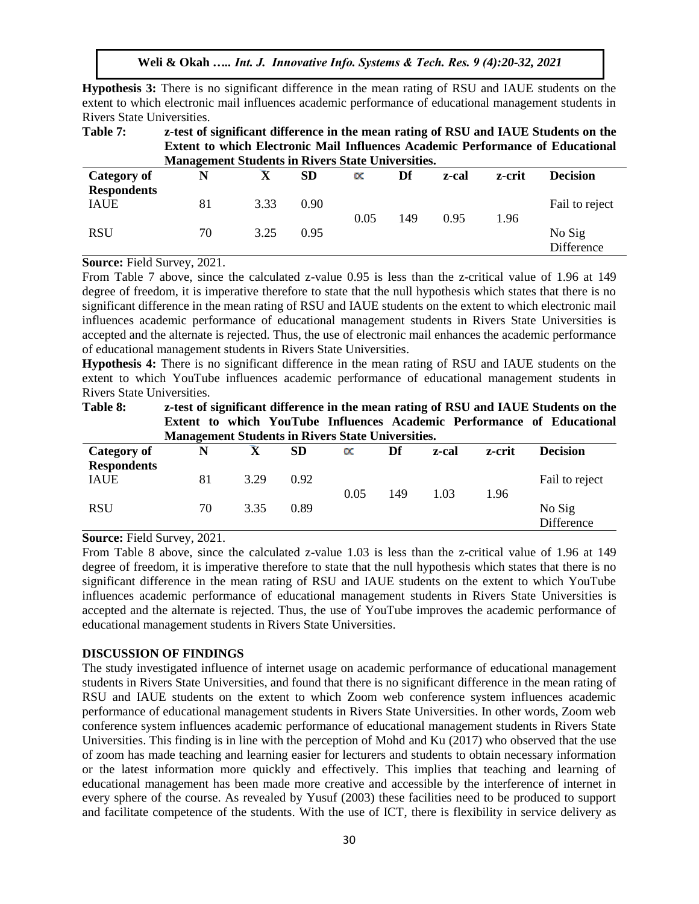**Hypothesis 3:** There is no significant difference in the mean rating of RSU and IAUE students on the extent to which electronic mail influences academic performance of educational management students in Rivers State Universities.

**Table 7: z-test of significant difference in the mean rating of RSU and IAUE Students on the Extent to which Electronic Mail Influences Academic Performance of Educational Management Students in Rivers State Universities.**

| <b>Category of</b>                | N  | $\overline{\mathbf{v}}$ | <b>SD</b> | $\propto$ | Df  | z-cal | z-crit | <b>Decision</b>      |
|-----------------------------------|----|-------------------------|-----------|-----------|-----|-------|--------|----------------------|
| <b>Respondents</b><br><b>IAUE</b> | 81 | 3.33                    | 0.90      | 0.05      | 149 | 0.95  | 1.96   | Fail to reject       |
| <b>RSU</b>                        | 70 | 3.25                    | 0.95      |           |     |       |        | No Sig<br>Difference |

**Source:** Field Survey, 2021.

From Table 7 above, since the calculated z-value 0.95 is less than the z-critical value of 1.96 at 149 degree of freedom, it is imperative therefore to state that the null hypothesis which states that there is no significant difference in the mean rating of RSU and IAUE students on the extent to which electronic mail influences academic performance of educational management students in Rivers State Universities is accepted and the alternate is rejected. Thus, the use of electronic mail enhances the academic performance of educational management students in Rivers State Universities.

**Hypothesis 4:** There is no significant difference in the mean rating of RSU and IAUE students on the extent to which YouTube influences academic performance of educational management students in Rivers State Universities.

| Table 8:                          | <b>Management Students in Rivers State Universities.</b> |      |           |           |     |       |        | z-test of significant difference in the mean rating of RSU and IAUE Students on the<br>Extent to which YouTube Influences Academic Performance of Educational |
|-----------------------------------|----------------------------------------------------------|------|-----------|-----------|-----|-------|--------|---------------------------------------------------------------------------------------------------------------------------------------------------------------|
| Category of<br><b>Respondents</b> | N                                                        | X    | <b>SD</b> | $\propto$ | Df  | z-cal | z-crit | <b>Decision</b>                                                                                                                                               |
| <b>IAUE</b>                       | 81                                                       | 3.29 | 0.92      | 0.05      | 149 | 1.03  | 1.96   | Fail to reject                                                                                                                                                |
| <b>RSU</b>                        | 70                                                       | 3.35 | 0.89      |           |     |       |        | No Sig<br>Difference                                                                                                                                          |

**Source:** Field Survey, 2021.

From Table 8 above, since the calculated z-value 1.03 is less than the z-critical value of 1.96 at 149 degree of freedom, it is imperative therefore to state that the null hypothesis which states that there is no significant difference in the mean rating of RSU and IAUE students on the extent to which YouTube influences academic performance of educational management students in Rivers State Universities is accepted and the alternate is rejected. Thus, the use of YouTube improves the academic performance of educational management students in Rivers State Universities.

## **DISCUSSION OF FINDINGS**

The study investigated influence of internet usage on academic performance of educational management students in Rivers State Universities, and found that there is no significant difference in the mean rating of RSU and IAUE students on the extent to which Zoom web conference system influences academic performance of educational management students in Rivers State Universities. In other words, Zoom web conference system influences academic performance of educational management students in Rivers State Universities. This finding is in line with the perception of Mohd and Ku (2017) who observed that the use of zoom has made teaching and learning easier for lecturers and students to obtain necessary information or the latest information more quickly and effectively. This implies that teaching and learning of educational management has been made more creative and accessible by the interference of internet in every sphere of the course. As revealed by Yusuf (2003) these facilities need to be produced to support and facilitate competence of the students. With the use of ICT, there is flexibility in service delivery as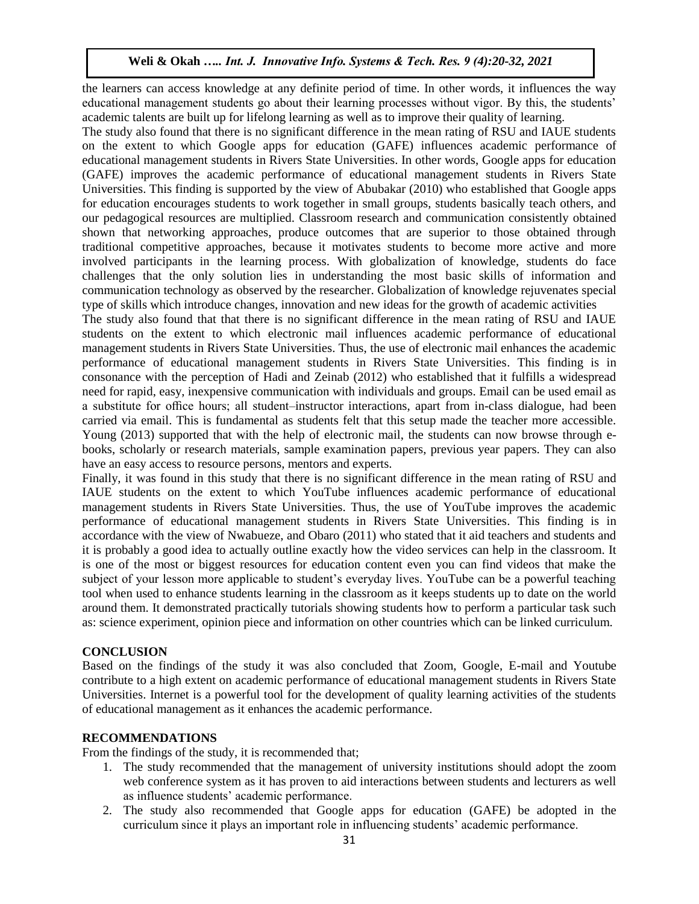the learners can access knowledge at any definite period of time. In other words, it influences the way educational management students go about their learning processes without vigor. By this, the students' academic talents are built up for lifelong learning as well as to improve their quality of learning.

The study also found that there is no significant difference in the mean rating of RSU and IAUE students on the extent to which Google apps for education (GAFE) influences academic performance of educational management students in Rivers State Universities. In other words, Google apps for education (GAFE) improves the academic performance of educational management students in Rivers State Universities. This finding is supported by the view of Abubakar (2010) who established that Google apps for education encourages students to work together in small groups, students basically teach others, and our pedagogical resources are multiplied. Classroom research and communication consistently obtained shown that networking approaches, produce outcomes that are superior to those obtained through traditional competitive approaches, because it motivates students to become more active and more involved participants in the learning process. With globalization of knowledge, students do face challenges that the only solution lies in understanding the most basic skills of information and communication technology as observed by the researcher. Globalization of knowledge rejuvenates special type of skills which introduce changes, innovation and new ideas for the growth of academic activities

The study also found that that there is no significant difference in the mean rating of RSU and IAUE students on the extent to which electronic mail influences academic performance of educational management students in Rivers State Universities. Thus, the use of electronic mail enhances the academic performance of educational management students in Rivers State Universities. This finding is in consonance with the perception of Hadi and Zeinab (2012) who established that it fulfills a widespread need for rapid, easy, inexpensive communication with individuals and groups. Email can be used email as a substitute for office hours; all student–instructor interactions, apart from in-class dialogue, had been carried via email. This is fundamental as students felt that this setup made the teacher more accessible. Young (2013) supported that with the help of electronic mail, the students can now browse through ebooks, scholarly or research materials, sample examination papers, previous year papers. They can also have an easy access to resource persons, mentors and experts.

Finally, it was found in this study that there is no significant difference in the mean rating of RSU and IAUE students on the extent to which YouTube influences academic performance of educational management students in Rivers State Universities. Thus, the use of YouTube improves the academic performance of educational management students in Rivers State Universities. This finding is in accordance with the view of Nwabueze, and Obaro (2011) who stated that it aid teachers and students and it is probably a good idea to actually outline exactly how the video services can help in the classroom. It is one of the most or biggest resources for education content even you can find videos that make the subject of your lesson more applicable to student's everyday lives. YouTube can be a powerful teaching tool when used to enhance students learning in the classroom as it keeps students up to date on the world around them. It demonstrated practically tutorials showing students how to perform a particular task such as: science experiment, opinion piece and information on other countries which can be linked curriculum.

# **CONCLUSION**

Based on the findings of the study it was also concluded that Zoom, Google, E-mail and Youtube contribute to a high extent on academic performance of educational management students in Rivers State Universities. Internet is a powerful tool for the development of quality learning activities of the students of educational management as it enhances the academic performance.

# **RECOMMENDATIONS**

From the findings of the study, it is recommended that;

- 1. The study recommended that the management of university institutions should adopt the zoom web conference system as it has proven to aid interactions between students and lecturers as well as influence students' academic performance.
- 2. The study also recommended that Google apps for education (GAFE) be adopted in the curriculum since it plays an important role in influencing students' academic performance.